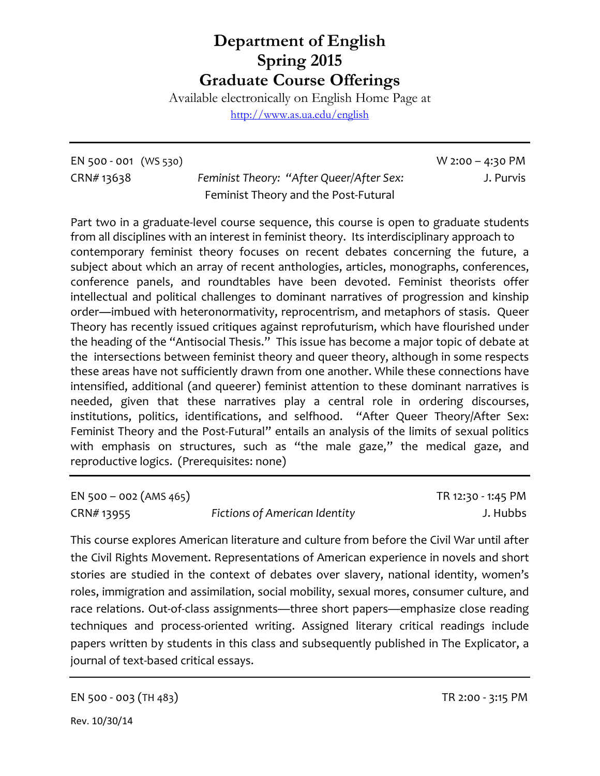## **Department of English Spring 2015 Graduate Course Offerings**

Available electronically on English Home Page at

<http://www.as.ua.edu/english>

EN 500 - 001 (WS 530) W 2:00 – 4:30 PM

CRN# 13638 *Feminist Theory: "After Queer/After Sex:* J. Purvis Feminist Theory and the Post-Futural

Part two in a graduate-level course sequence, this course is open to graduate students from all disciplines with an interest in feminist theory. Its interdisciplinary approach to contemporary feminist theory focuses on recent debates concerning the future, a subject about which an array of recent anthologies, articles, monographs, conferences, conference panels, and roundtables have been devoted. Feminist theorists offer intellectual and political challenges to dominant narratives of progression and kinship order―imbued with heteronormativity, reprocentrism, and metaphors of stasis. Queer Theory has recently issued critiques against reprofuturism, which have flourished under the heading of the "Antisocial Thesis." This issue has become a major topic of debate at the intersections between feminist theory and queer theory, although in some respects these areas have not sufficiently drawn from one another. While these connections have intensified, additional (and queerer) feminist attention to these dominant narratives is needed, given that these narratives play a central role in ordering discourses, institutions, politics, identifications, and selfhood. "After Queer Theory/After Sex: Feminist Theory and the Post-Futural" entails an analysis of the limits of sexual politics with emphasis on structures, such as "the male gaze," the medical gaze, and reproductive logics. (Prerequisites: none)

EN 500 – 002 (AMS 465) TR 12:30 - 1:45 PM CRN# 13955 *Fictions of American Identity* J. Hubbs

This course explores American literature and culture from before the Civil War until after the Civil Rights Movement. Representations of American experience in novels and short stories are studied in the context of debates over slavery, national identity, women's roles, immigration and assimilation, social mobility, sexual mores, consumer culture, and race relations. Out-of-class assignments—three short papers—emphasize close reading techniques and process-oriented writing. Assigned literary critical readings include papers written by students in this class and subsequently published in The Explicator, a journal of text-based critical essays.

EN 500 - 003 (TH 483) TR 2:00 - 3:15 PM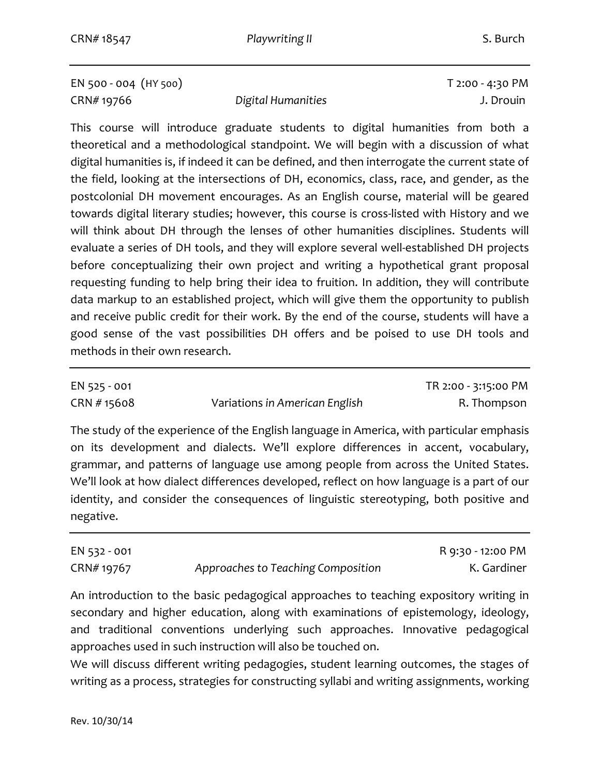EN 500 - 004 (HY 500) T 2:00 - 4:30 PM CRN# 19766 *Digital Humanities* J. Drouin

This course will introduce graduate students to digital humanities from both a theoretical and a methodological standpoint. We will begin with a discussion of what digital humanities is, if indeed it can be defined, and then interrogate the current state of the field, looking at the intersections of DH, economics, class, race, and gender, as the postcolonial DH movement encourages. As an English course, material will be geared towards digital literary studies; however, this course is cross-listed with History and we will think about DH through the lenses of other humanities disciplines. Students will evaluate a series of DH tools, and they will explore several well-established DH projects before conceptualizing their own project and writing a hypothetical grant proposal requesting funding to help bring their idea to fruition. In addition, they will contribute data markup to an established project, which will give them the opportunity to publish and receive public credit for their work. By the end of the course, students will have a good sense of the vast possibilities DH offers and be poised to use DH tools and methods in their own research.

EN 525 - 001 TR 2:00 - 3:15:00 PM CRN # 15608 Variations *in American English* R. Thompson

The study of the experience of the English language in America, with particular emphasis on its development and dialects. We'll explore differences in accent, vocabulary, grammar, and patterns of language use among people from across the United States. We'll look at how dialect differences developed, reflect on how language is a part of our identity, and consider the consequences of linguistic stereotyping, both positive and negative.

| EN 532 - 001 |                                    | R 9:30 - 12:00 PM |
|--------------|------------------------------------|-------------------|
| CRN# 19767   | Approaches to Teaching Composition | K. Gardiner       |

An introduction to the basic pedagogical approaches to teaching expository writing in secondary and higher education, along with examinations of epistemology, ideology, and traditional conventions underlying such approaches. Innovative pedagogical approaches used in such instruction will also be touched on.

We will discuss different writing pedagogies, student learning outcomes, the stages of writing as a process, strategies for constructing syllabi and writing assignments, working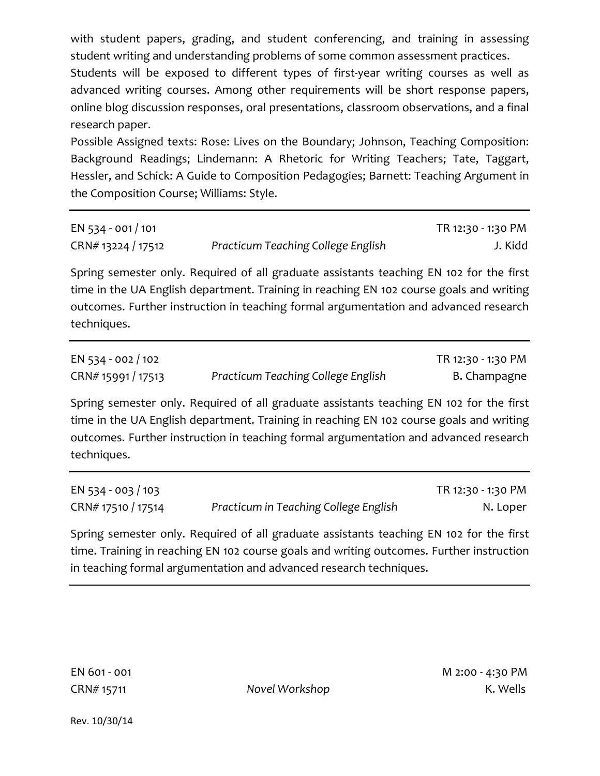with student papers, grading, and student conferencing, and training in assessing student writing and understanding problems of some common assessment practices.

Students will be exposed to different types of first-year writing courses as well as advanced writing courses. Among other requirements will be short response papers, online blog discussion responses, oral presentations, classroom observations, and a final research paper.

Possible Assigned texts: Rose: Lives on the Boundary; Johnson, Teaching Composition: Background Readings; Lindemann: A Rhetoric for Writing Teachers; Tate, Taggart, Hessler, and Schick: A Guide to Composition Pedagogies; Barnett: Teaching Argument in the Composition Course; Williams: Style.

| EN 534 - 001 / 101 |                                    | TR 12:30 - 1:30 PM |
|--------------------|------------------------------------|--------------------|
| CRN# 13224 / 17512 | Practicum Teaching College English | J. Kidd            |

Spring semester only. Required of all graduate assistants teaching EN 102 for the first time in the UA English department. Training in reaching EN 102 course goals and writing outcomes. Further instruction in teaching formal argumentation and advanced research techniques.

| EN 534 - 002 / 102 |                                    | TR 12:30 - 1:30 PM |
|--------------------|------------------------------------|--------------------|
| CRN# 15991 / 17513 | Practicum Teaching College English | B. Champagne       |

Spring semester only. Required of all graduate assistants teaching EN 102 for the first time in the UA English department. Training in reaching EN 102 course goals and writing outcomes. Further instruction in teaching formal argumentation and advanced research techniques.

| EN 534 - 003 / 103 |                                       | TR 12:30 - 1:30 PM |
|--------------------|---------------------------------------|--------------------|
| CRN# 17510 / 17514 | Practicum in Teaching College English | N. Loper           |

Spring semester only. Required of all graduate assistants teaching EN 102 for the first time. Training in reaching EN 102 course goals and writing outcomes. Further instruction in teaching formal argumentation and advanced research techniques.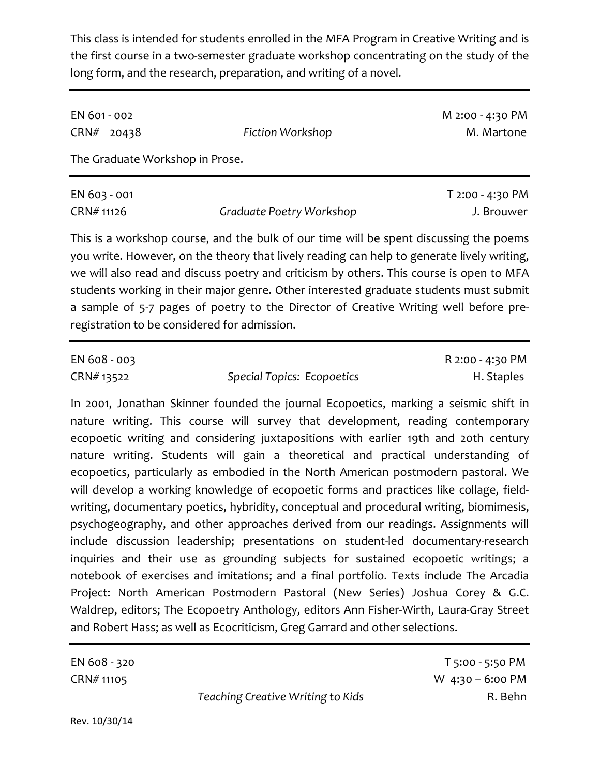This class is intended for students enrolled in the MFA Program in Creative Writing and is the first course in a two-semester graduate workshop concentrating on the study of the long form, and the research, preparation, and writing of a novel.

| EN 601 - 002 |                                 |                  | M 2:00 - 4:30 PM |
|--------------|---------------------------------|------------------|------------------|
|              | $CRN#$ 20438                    | Fiction Workshop | M. Martone       |
|              | The Graduate Workshop in Prose. |                  |                  |
|              |                                 |                  |                  |

| EN 603 - 001 |                          | T 2:00 - 4:30 PM |
|--------------|--------------------------|------------------|
| CRN# 11126   | Graduate Poetry Workshop | J. Brouwer       |

This is a workshop course, and the bulk of our time will be spent discussing the poems you write. However, on the theory that lively reading can help to generate lively writing, we will also read and discuss poetry and criticism by others. This course is open to MFA students working in their major genre. Other interested graduate students must submit a sample of 5-7 pages of poetry to the Director of Creative Writing well before preregistration to be considered for admission.

| EN 608 - 003 |                                   | R 2:00 - 4:30 PM |
|--------------|-----------------------------------|------------------|
| CRN# 13522   | <b>Special Topics: Ecopoetics</b> | H. Staples       |

In 2001, Jonathan Skinner founded the journal Ecopoetics, marking a seismic shift in nature writing. This course will survey that development, reading contemporary ecopoetic writing and considering juxtapositions with earlier 19th and 20th century nature writing. Students will gain a theoretical and practical understanding of ecopoetics, particularly as embodied in the North American postmodern pastoral. We will develop a working knowledge of ecopoetic forms and practices like collage, fieldwriting, documentary poetics, hybridity, conceptual and procedural writing, biomimesis, psychogeography, and other approaches derived from our readings. Assignments will include discussion leadership; presentations on student-led documentary-research inquiries and their use as grounding subjects for sustained ecopoetic writings; a notebook of exercises and imitations; and a final portfolio. Texts include The Arcadia Project: North American Postmodern Pastoral (New Series) Joshua Corey & G.C. Waldrep, editors; The Ecopoetry Anthology, editors Ann Fisher-Wirth, Laura-Gray Street and Robert Hass; as well as Ecocriticism, Greg Garrard and other selections.

|                                   | T 5:00 - 5:50 PM   |
|-----------------------------------|--------------------|
|                                   | W $4:30 - 6:00$ PM |
| Teaching Creative Writing to Kids | R. Behn            |
|                                   |                    |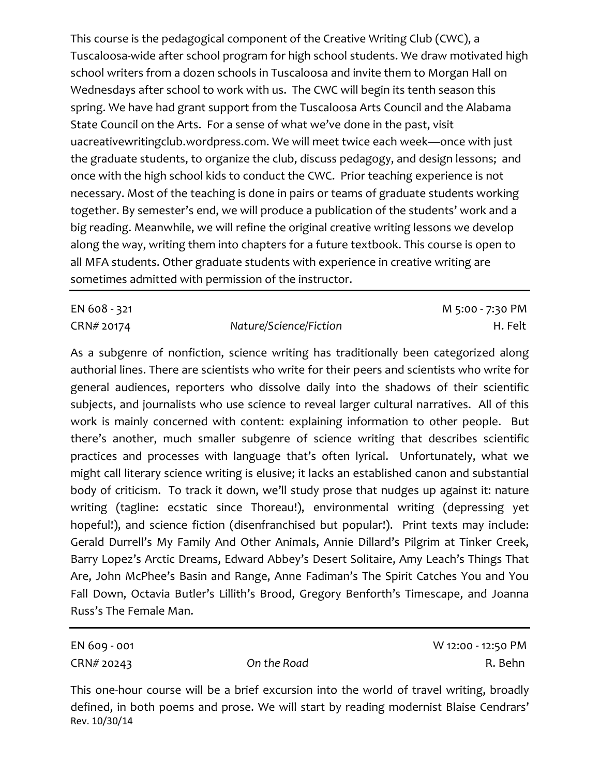This course is the pedagogical component of the Creative Writing Club (CWC), a Tuscaloosa-wide after school program for high school students. We draw motivated high school writers from a dozen schools in Tuscaloosa and invite them to Morgan Hall on Wednesdays after school to work with us. The CWC will begin its tenth season this spring. We have had grant support from the Tuscaloosa Arts Council and the Alabama State Council on the Arts. For a sense of what we've done in the past, visit uacreativewritingclub.wordpress.com. We will meet twice each week—once with just the graduate students, to organize the club, discuss pedagogy, and design lessons; and once with the high school kids to conduct the CWC. Prior teaching experience is not necessary. Most of the teaching is done in pairs or teams of graduate students working together. By semester's end, we will produce a publication of the students' work and a big reading. Meanwhile, we will refine the original creative writing lessons we develop along the way, writing them into chapters for a future textbook. This course is open to all MFA students. Other graduate students with experience in creative writing are sometimes admitted with permission of the instructor.

CRN# 20174 *Nature/Science/Fiction* H. Felt

EN 608 - 321 M 5:00 - 7:30 PM

As a subgenre of nonfiction, science writing has traditionally been categorized along authorial lines. There are scientists who write for their peers and scientists who write for general audiences, reporters who dissolve daily into the shadows of their scientific subjects, and journalists who use science to reveal larger cultural narratives. All of this work is mainly concerned with content: explaining information to other people. But there's another, much smaller subgenre of science writing that describes scientific practices and processes with language that's often lyrical. Unfortunately, what we might call literary science writing is elusive; it lacks an established canon and substantial body of criticism. To track it down, we'll study prose that nudges up against it: nature writing (tagline: ecstatic since Thoreau!), environmental writing (depressing yet hopeful!), and science fiction (disenfranchised but popular!). Print texts may include: Gerald Durrell's My Family And Other Animals, Annie Dillard's Pilgrim at Tinker Creek, Barry Lopez's Arctic Dreams, Edward Abbey's Desert Solitaire, Amy Leach's Things That Are, John McPhee's Basin and Range, Anne Fadiman's The Spirit Catches You and You Fall Down, Octavia Butler's Lillith's Brood, Gregory Benforth's Timescape, and Joanna Russ's The Female Man.

EN 609 - 001 W 12:00 - 12:50 PM CRN# 20243 *On the Road* R. Behn

This one-hour course will be a brief excursion into the world of travel writing, broadly defined, in both poems and prose. We will start by reading modernist Blaise Cendrars' Rev. 10/30/14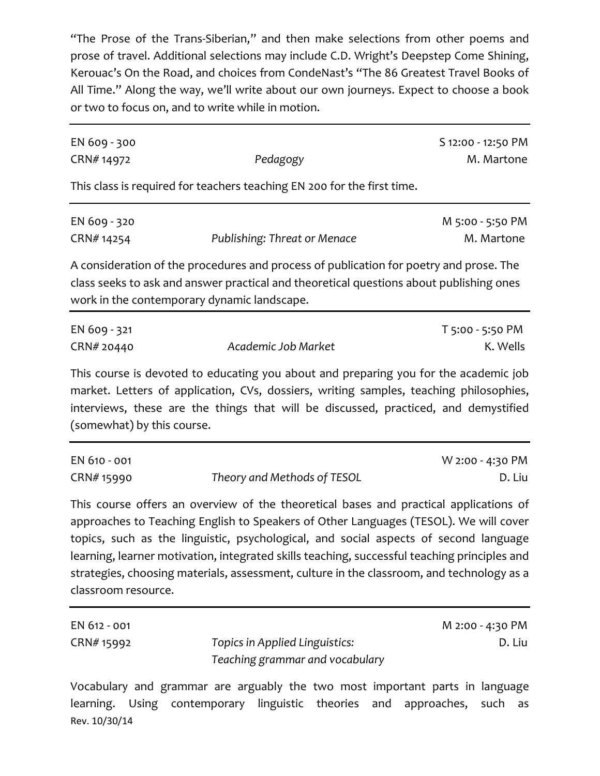"The Prose of the Trans-Siberian," and then make selections from other poems and prose of travel. Additional selections may include C.D. Wright's Deepstep Come Shining, Kerouac's On the Road, and choices from CondeNast's "The 86 Greatest Travel Books of All Time." Along the way, we'll write about our own journeys. Expect to choose a book or two to focus on, and to write while in motion.

| EN 609 - 300<br>CRN#14972                                | Pedagogy                                                                                                                                                                                                                                                                                     | S 12:00 - 12:50 PM<br>M. Martone |
|----------------------------------------------------------|----------------------------------------------------------------------------------------------------------------------------------------------------------------------------------------------------------------------------------------------------------------------------------------------|----------------------------------|
|                                                          | This class is required for teachers teaching EN 200 for the first time.                                                                                                                                                                                                                      |                                  |
| EN 609 - 320<br>CRN#14254                                | Publishing: Threat or Menace                                                                                                                                                                                                                                                                 | M 5:00 - 5:50 PM<br>M. Martone   |
| work in the contemporary dynamic landscape.              | A consideration of the procedures and process of publication for poetry and prose. The<br>class seeks to ask and answer practical and theoretical questions about publishing ones                                                                                                            |                                  |
| EN 609 - 321<br>CRN# 20440<br>(somewhat) by this course. | Academic Job Market<br>This course is devoted to educating you about and preparing you for the academic job<br>market. Letters of application, CVs, dossiers, writing samples, teaching philosophies,<br>interviews, these are the things that will be discussed, practiced, and demystified | T 5:00 - 5:50 PM<br>K. Wells     |
| EN 610 - 001<br>CRN# 15990                               | Theory and Methods of TESOL                                                                                                                                                                                                                                                                  | W 2:00 - 4:30 PM<br>D. Liu       |

This course offers an overview of the theoretical bases and practical applications of approaches to Teaching English to Speakers of Other Languages (TESOL). We will cover topics, such as the linguistic, psychological, and social aspects of second language learning, learner motivation, integrated skills teaching, successful teaching principles and strategies, choosing materials, assessment, culture in the classroom, and technology as a classroom resource.

| EN 612 - 001 |                                 | M 2:00 - 4:30 PM |
|--------------|---------------------------------|------------------|
| CRN# 15992   | Topics in Applied Linguistics:  | D. Liu           |
|              | Teaching grammar and vocabulary |                  |

Vocabulary and grammar are arguably the two most important parts in language learning. Using contemporary linguistic theories and approaches, such as Rev. 10/30/14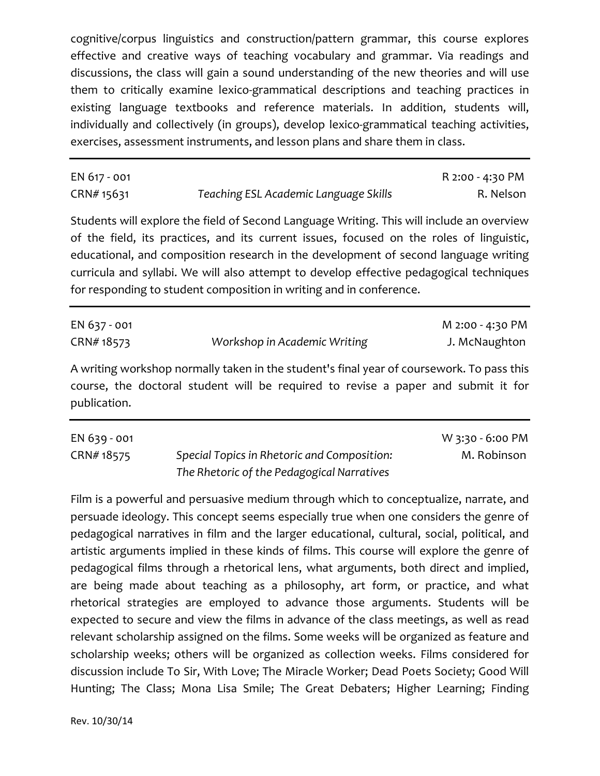cognitive/corpus linguistics and construction/pattern grammar, this course explores effective and creative ways of teaching vocabulary and grammar. Via readings and discussions, the class will gain a sound understanding of the new theories and will use them to critically examine lexico-grammatical descriptions and teaching practices in existing language textbooks and reference materials. In addition, students will, individually and collectively (in groups), develop lexico-grammatical teaching activities, exercises, assessment instruments, and lesson plans and share them in class.

| EN 617 - 001 |                                       | R 2:00 - 4:30 PM |
|--------------|---------------------------------------|------------------|
| CRN# 15631   | Teaching ESL Academic Language Skills | R. Nelson        |

Students will explore the field of Second Language Writing. This will include an overview of the field, its practices, and its current issues, focused on the roles of linguistic, educational, and composition research in the development of second language writing curricula and syllabi. We will also attempt to develop effective pedagogical techniques for responding to student composition in writing and in conference.

| EN 637 - 001 |                              | M 2:00 - 4:30 PM |
|--------------|------------------------------|------------------|
| CRN#18573    | Workshop in Academic Writing | J. McNaughton    |

A writing workshop normally taken in the student's final year of coursework. To pass this course, the doctoral student will be required to revise a paper and submit it for publication.

| EN 639 - 001 |                                             | W 3:30 - 6:00 PM |
|--------------|---------------------------------------------|------------------|
| CRN#18575    | Special Topics in Rhetoric and Composition: | M. Robinson      |
|              | The Rhetoric of the Pedagogical Narratives  |                  |

Film is a powerful and persuasive medium through which to conceptualize, narrate, and persuade ideology. This concept seems especially true when one considers the genre of pedagogical narratives in film and the larger educational, cultural, social, political, and artistic arguments implied in these kinds of films. This course will explore the genre of pedagogical films through a rhetorical lens, what arguments, both direct and implied, are being made about teaching as a philosophy, art form, or practice, and what rhetorical strategies are employed to advance those arguments. Students will be expected to secure and view the films in advance of the class meetings, as well as read relevant scholarship assigned on the films. Some weeks will be organized as feature and scholarship weeks; others will be organized as collection weeks. Films considered for discussion include To Sir, With Love; The Miracle Worker; Dead Poets Society; Good Will Hunting; The Class; Mona Lisa Smile; The Great Debaters; Higher Learning; Finding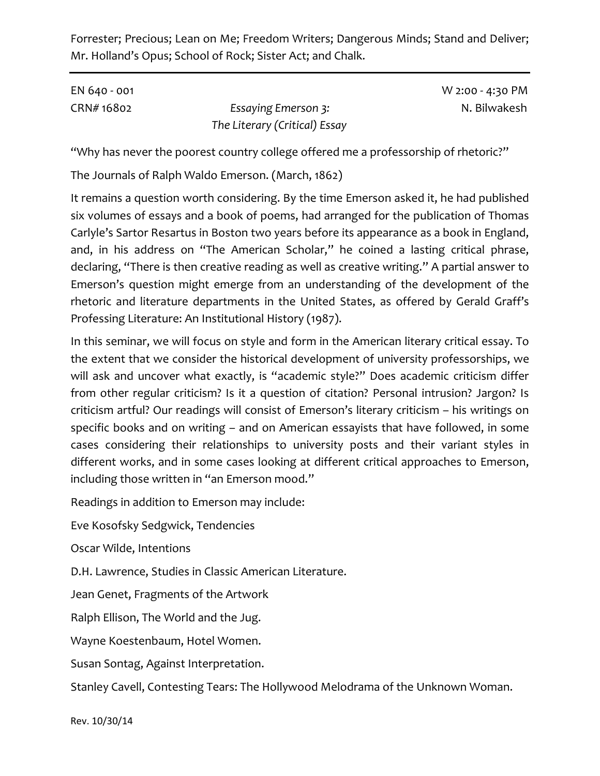Forrester; Precious; Lean on Me; Freedom Writers; Dangerous Minds; Stand and Deliver; Mr. Holland's Opus; School of Rock; Sister Act; and Chalk.

| EN 640 - 001 |                               | W 2:00 - 4:30 PM |
|--------------|-------------------------------|------------------|
| CRN# 16802   | <b>Essaying Emerson 3:</b>    | N. Bilwakesh     |
|              | The Literary (Critical) Essay |                  |

"Why has never the poorest country college offered me a professorship of rhetoric?"

The Journals of Ralph Waldo Emerson. (March, 1862)

It remains a question worth considering. By the time Emerson asked it, he had published six volumes of essays and a book of poems, had arranged for the publication of Thomas Carlyle's Sartor Resartus in Boston two years before its appearance as a book in England, and, in his address on "The American Scholar," he coined a lasting critical phrase, declaring, "There is then creative reading as well as creative writing." A partial answer to Emerson's question might emerge from an understanding of the development of the rhetoric and literature departments in the United States, as offered by Gerald Graff's Professing Literature: An Institutional History (1987).

In this seminar, we will focus on style and form in the American literary critical essay. To the extent that we consider the historical development of university professorships, we will ask and uncover what exactly, is "academic style?" Does academic criticism differ from other regular criticism? Is it a question of citation? Personal intrusion? Jargon? Is criticism artful? Our readings will consist of Emerson's literary criticism – his writings on specific books and on writing – and on American essayists that have followed, in some cases considering their relationships to university posts and their variant styles in different works, and in some cases looking at different critical approaches to Emerson, including those written in "an Emerson mood."

Readings in addition to Emerson may include:

Eve Kosofsky Sedgwick, Tendencies

Oscar Wilde, Intentions

D.H. Lawrence, Studies in Classic American Literature.

Jean Genet, Fragments of the Artwork

Ralph Ellison, The World and the Jug.

Wayne Koestenbaum, Hotel Women.

Susan Sontag, Against Interpretation.

Stanley Cavell, Contesting Tears: The Hollywood Melodrama of the Unknown Woman.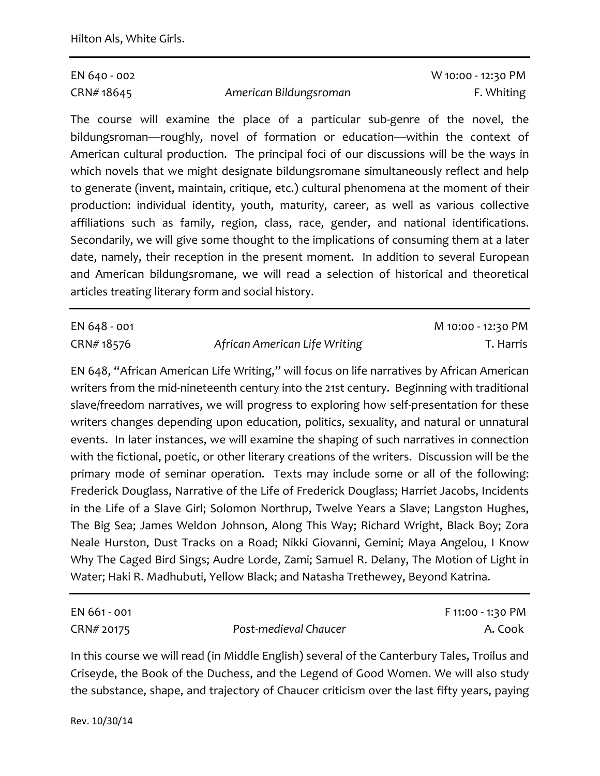CRN# 18645 *American Bildungsroman* F. Whiting

EN 640 - 002 W 10:00 - 12:30 PM

The course will examine the place of a particular sub-genre of the novel, the bildungsroman—roughly, novel of formation or education—within the context of American cultural production. The principal foci of our discussions will be the ways in which novels that we might designate bildungsromane simultaneously reflect and help to generate (invent, maintain, critique, etc.) cultural phenomena at the moment of their production: individual identity, youth, maturity, career, as well as various collective affiliations such as family, region, class, race, gender, and national identifications. Secondarily, we will give some thought to the implications of consuming them at a later date, namely, their reception in the present moment. In addition to several European and American bildungsromane, we will read a selection of historical and theoretical articles treating literary form and social history.

CRN# 18576 *African American Life Writing* T. Harris

EN 648 - 001 M 10:00 - 12:30 PM

EN 648, "African American Life Writing," will focus on life narratives by African American writers from the mid-nineteenth century into the 21st century. Beginning with traditional slave/freedom narratives, we will progress to exploring how self-presentation for these writers changes depending upon education, politics, sexuality, and natural or unnatural events. In later instances, we will examine the shaping of such narratives in connection with the fictional, poetic, or other literary creations of the writers. Discussion will be the primary mode of seminar operation. Texts may include some or all of the following: Frederick Douglass, Narrative of the Life of Frederick Douglass; Harriet Jacobs, Incidents in the Life of a Slave Girl; Solomon Northrup, Twelve Years a Slave; Langston Hughes, The Big Sea; James Weldon Johnson, Along This Way; Richard Wright, Black Boy; Zora Neale Hurston, Dust Tracks on a Road; Nikki Giovanni, Gemini; Maya Angelou, I Know Why The Caged Bird Sings; Audre Lorde, Zami; Samuel R. Delany, The Motion of Light in Water; Haki R. Madhubuti, Yellow Black; and Natasha Trethewey, Beyond Katrina.

| EN 661 - 001 |                       | F 11:00 - 1:30 PM |
|--------------|-----------------------|-------------------|
| CRN# 20175   | Post-medieval Chaucer | A. Cook           |

In this course we will read (in Middle English) several of the Canterbury Tales, Troilus and Criseyde, the Book of the Duchess, and the Legend of Good Women. We will also study the substance, shape, and trajectory of Chaucer criticism over the last fifty years, paying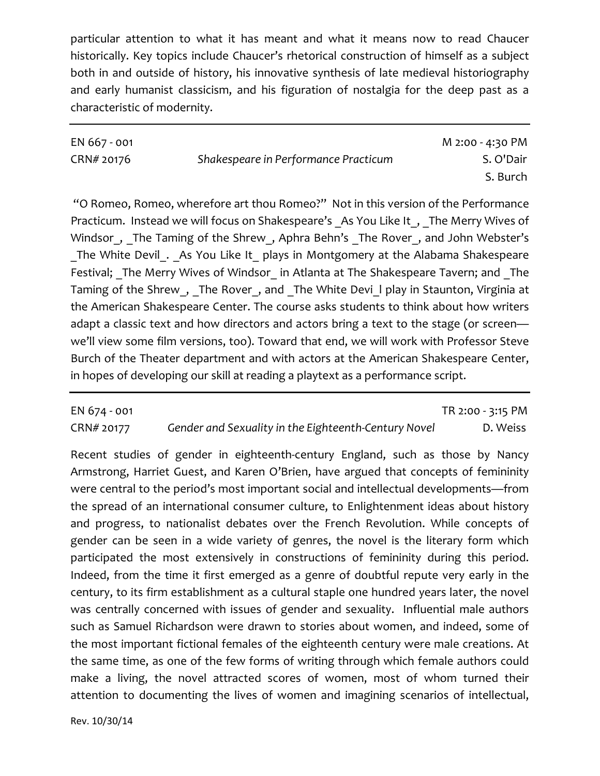particular attention to what it has meant and what it means now to read Chaucer historically. Key topics include Chaucer's rhetorical construction of himself as a subject both in and outside of history, his innovative synthesis of late medieval historiography and early humanist classicism, and his figuration of nostalgia for the deep past as a characteristic of modernity.

| EN 667 - 001 |                                      | M 2:00 - 4:30 PM |
|--------------|--------------------------------------|------------------|
| CRN# 20176   | Shakespeare in Performance Practicum | S. O'Dair        |
|              |                                      | S. Burch         |

"O Romeo, Romeo, wherefore art thou Romeo?" Not in this version of the Performance Practicum. Instead we will focus on Shakespeare's As You Like It, The Merry Wives of Windsor, The Taming of the Shrew, Aphra Behn's The Rover, and John Webster's The White Devil . As You Like It plays in Montgomery at the Alabama Shakespeare Festival; The Merry Wives of Windsor in Atlanta at The Shakespeare Tavern; and The Taming of the Shrew\_, \_The Rover\_, and \_The White Devi\_l play in Staunton, Virginia at the American Shakespeare Center. The course asks students to think about how writers adapt a classic text and how directors and actors bring a text to the stage (or screen we'll view some film versions, too). Toward that end, we will work with Professor Steve Burch of the Theater department and with actors at the American Shakespeare Center, in hopes of developing our skill at reading a playtext as a performance script.

## EN 674 - 001 TR 2:00 - 3:15 PM CRN# 20177 *Gender and Sexuality in the Eighteenth-Century Novel* D. Weiss

Recent studies of gender in eighteenth-century England, such as those by Nancy Armstrong, Harriet Guest, and Karen O'Brien, have argued that concepts of femininity were central to the period's most important social and intellectual developments—from the spread of an international consumer culture, to Enlightenment ideas about history and progress, to nationalist debates over the French Revolution. While concepts of gender can be seen in a wide variety of genres, the novel is the literary form which participated the most extensively in constructions of femininity during this period. Indeed, from the time it first emerged as a genre of doubtful repute very early in the century, to its firm establishment as a cultural staple one hundred years later, the novel was centrally concerned with issues of gender and sexuality. Influential male authors such as Samuel Richardson were drawn to stories about women, and indeed, some of the most important fictional females of the eighteenth century were male creations. At the same time, as one of the few forms of writing through which female authors could make a living, the novel attracted scores of women, most of whom turned their attention to documenting the lives of women and imagining scenarios of intellectual,